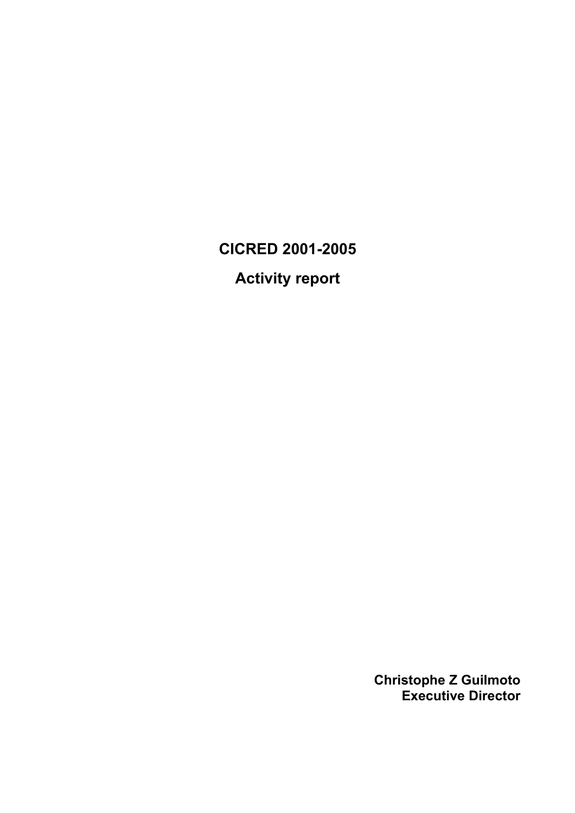# **CICRED 2001-2005**

**Activity report** 

**Christophe Z Guilmoto Executive Director**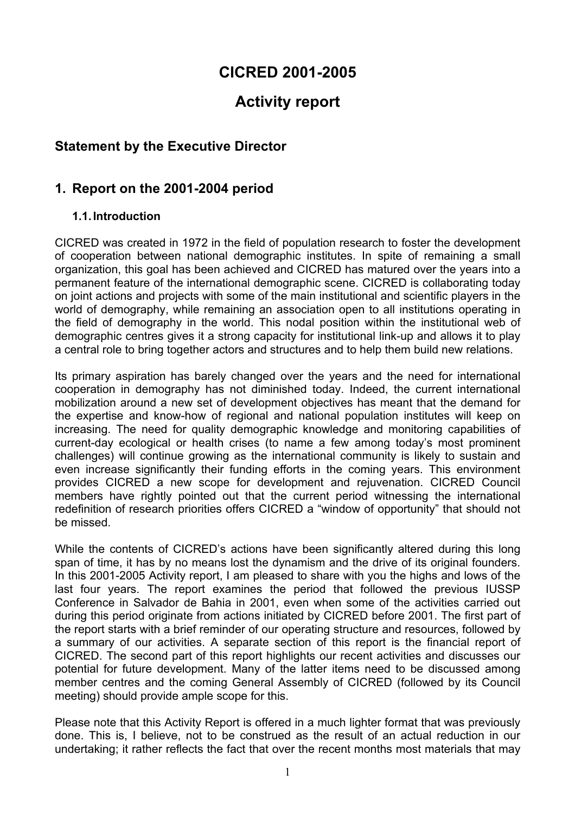## **CICRED 2001-2005**

## **Activity report**

## **Statement by the Executive Director**

## **1. Report on the 2001-2004 period**

#### **1.1. Introduction**

CICRED was created in 1972 in the field of population research to foster the development of cooperation between national demographic institutes. In spite of remaining a small organization, this goal has been achieved and CICRED has matured over the years into a permanent feature of the international demographic scene. CICRED is collaborating today on joint actions and projects with some of the main institutional and scientific players in the world of demography, while remaining an association open to all institutions operating in the field of demography in the world. This nodal position within the institutional web of demographic centres gives it a strong capacity for institutional link-up and allows it to play a central role to bring together actors and structures and to help them build new relations.

Its primary aspiration has barely changed over the years and the need for international cooperation in demography has not diminished today. Indeed, the current international mobilization around a new set of development objectives has meant that the demand for the expertise and know-how of regional and national population institutes will keep on increasing. The need for quality demographic knowledge and monitoring capabilities of current-day ecological or health crises (to name a few among today's most prominent challenges) will continue growing as the international community is likely to sustain and even increase significantly their funding efforts in the coming years. This environment provides CICRED a new scope for development and rejuvenation. CICRED Council members have rightly pointed out that the current period witnessing the international redefinition of research priorities offers CICRED a "window of opportunity" that should not be missed.

While the contents of CICRED's actions have been significantly altered during this long span of time, it has by no means lost the dynamism and the drive of its original founders. In this 2001-2005 Activity report, I am pleased to share with you the highs and lows of the last four years. The report examines the period that followed the previous IUSSP Conference in Salvador de Bahia in 2001, even when some of the activities carried out during this period originate from actions initiated by CICRED before 2001. The first part of the report starts with a brief reminder of our operating structure and resources, followed by a summary of our activities. A separate section of this report is the financial report of CICRED. The second part of this report highlights our recent activities and discusses our potential for future development. Many of the latter items need to be discussed among member centres and the coming General Assembly of CICRED (followed by its Council meeting) should provide ample scope for this.

Please note that this Activity Report is offered in a much lighter format that was previously done. This is, I believe, not to be construed as the result of an actual reduction in our undertaking; it rather reflects the fact that over the recent months most materials that may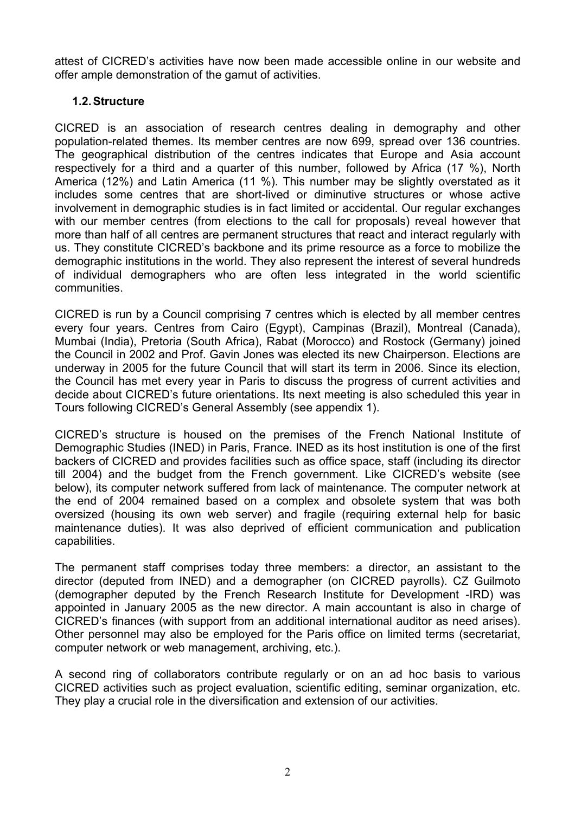attest of CICRED's activities have now been made accessible online in our website and offer ample demonstration of the gamut of activities.

#### **1.2. Structure**

CICRED is an association of research centres dealing in demography and other population-related themes. Its member centres are now 699, spread over 136 countries. The geographical distribution of the centres indicates that Europe and Asia account respectively for a third and a quarter of this number, followed by Africa (17 %), North America (12%) and Latin America (11 %). This number may be slightly overstated as it includes some centres that are short-lived or diminutive structures or whose active involvement in demographic studies is in fact limited or accidental. Our regular exchanges with our member centres (from elections to the call for proposals) reveal however that more than half of all centres are permanent structures that react and interact regularly with us. They constitute CICRED's backbone and its prime resource as a force to mobilize the demographic institutions in the world. They also represent the interest of several hundreds of individual demographers who are often less integrated in the world scientific communities.

CICRED is run by a Council comprising 7 centres which is elected by all member centres every four years. Centres from Cairo (Egypt), Campinas (Brazil), Montreal (Canada), Mumbai (India), Pretoria (South Africa), Rabat (Morocco) and Rostock (Germany) joined the Council in 2002 and Prof. Gavin Jones was elected its new Chairperson. Elections are underway in 2005 for the future Council that will start its term in 2006. Since its election, the Council has met every year in Paris to discuss the progress of current activities and decide about CICRED's future orientations. Its next meeting is also scheduled this year in Tours following CICRED's General Assembly (see appendix 1).

CICRED's structure is housed on the premises of the French National Institute of Demographic Studies (INED) in Paris, France. INED as its host institution is one of the first backers of CICRED and provides facilities such as office space, staff (including its director till 2004) and the budget from the French government. Like CICRED's website (see below), its computer network suffered from lack of maintenance. The computer network at the end of 2004 remained based on a complex and obsolete system that was both oversized (housing its own web server) and fragile (requiring external help for basic maintenance duties). It was also deprived of efficient communication and publication capabilities.

The permanent staff comprises today three members: a director, an assistant to the director (deputed from INED) and a demographer (on CICRED payrolls). CZ Guilmoto (demographer deputed by the French Research Institute for Development -IRD) was appointed in January 2005 as the new director. A main accountant is also in charge of CICRED's finances (with support from an additional international auditor as need arises). Other personnel may also be employed for the Paris office on limited terms (secretariat, computer network or web management, archiving, etc.).

A second ring of collaborators contribute regularly or on an ad hoc basis to various CICRED activities such as project evaluation, scientific editing, seminar organization, etc. They play a crucial role in the diversification and extension of our activities.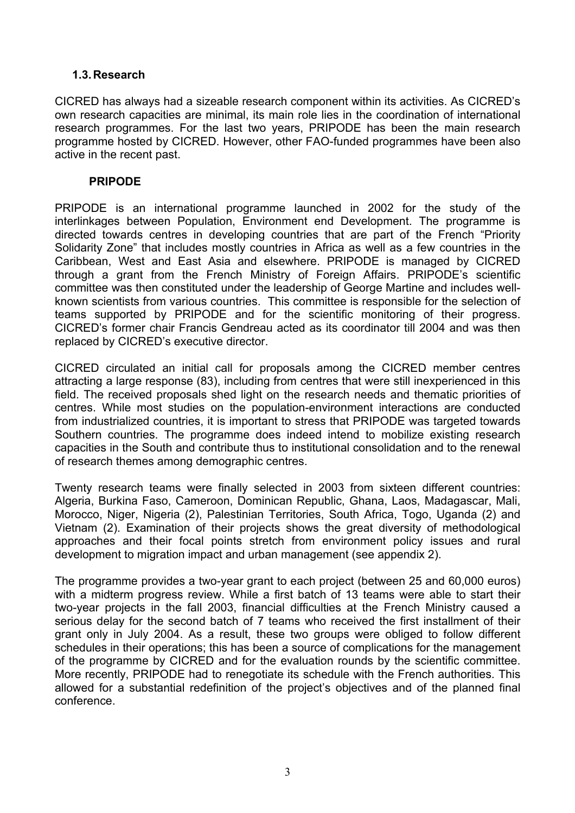#### **1.3. Research**

CICRED has always had a sizeable research component within its activities. As CICRED's own research capacities are minimal, its main role lies in the coordination of international research programmes. For the last two years, PRIPODE has been the main research programme hosted by CICRED. However, other FAO-funded programmes have been also active in the recent past.

#### **PRIPODE**

PRIPODE is an international programme launched in 2002 for the study of the interlinkages between Population, Environment end Development. The programme is directed towards centres in developing countries that are part of the French "Priority Solidarity Zone" that includes mostly countries in Africa as well as a few countries in the Caribbean, West and East Asia and elsewhere. PRIPODE is managed by CICRED through a grant from the French Ministry of Foreign Affairs. PRIPODE's scientific committee was then constituted under the leadership of George Martine and includes wellknown scientists from various countries. This committee is responsible for the selection of teams supported by PRIPODE and for the scientific monitoring of their progress. CICRED's former chair Francis Gendreau acted as its coordinator till 2004 and was then replaced by CICRED's executive director.

CICRED circulated an initial call for proposals among the CICRED member centres attracting a large response (83), including from centres that were still inexperienced in this field. The received proposals shed light on the research needs and thematic priorities of centres. While most studies on the population-environment interactions are conducted from industrialized countries, it is important to stress that PRIPODE was targeted towards Southern countries. The programme does indeed intend to mobilize existing research capacities in the South and contribute thus to institutional consolidation and to the renewal of research themes among demographic centres.

Twenty research teams were finally selected in 2003 from sixteen different countries: Algeria, Burkina Faso, Cameroon, Dominican Republic, Ghana, Laos, Madagascar, Mali, Morocco, Niger, Nigeria (2), Palestinian Territories, South Africa, Togo, Uganda (2) and Vietnam (2). Examination of their projects shows the great diversity of methodological approaches and their focal points stretch from environment policy issues and rural development to migration impact and urban management (see appendix 2).

The programme provides a two-year grant to each project (between 25 and 60,000 euros) with a midterm progress review. While a first batch of 13 teams were able to start their two-year projects in the fall 2003, financial difficulties at the French Ministry caused a serious delay for the second batch of 7 teams who received the first installment of their grant only in July 2004. As a result, these two groups were obliged to follow different schedules in their operations; this has been a source of complications for the management of the programme by CICRED and for the evaluation rounds by the scientific committee. More recently, PRIPODE had to renegotiate its schedule with the French authorities. This allowed for a substantial redefinition of the project's objectives and of the planned final conference.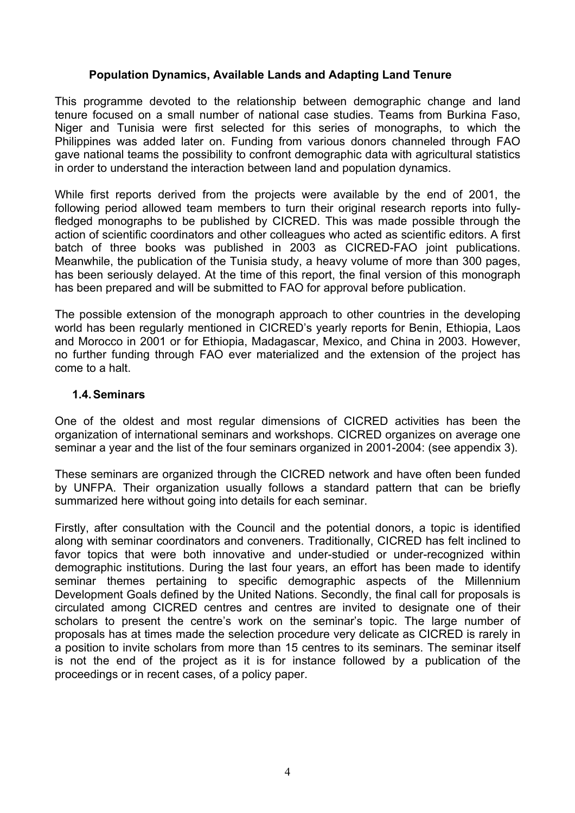#### **Population Dynamics, Available Lands and Adapting Land Tenure**

This programme devoted to the relationship between demographic change and land tenure focused on a small number of national case studies. Teams from Burkina Faso, Niger and Tunisia were first selected for this series of monographs, to which the Philippines was added later on. Funding from various donors channeled through FAO gave national teams the possibility to confront demographic data with agricultural statistics in order to understand the interaction between land and population dynamics.

While first reports derived from the projects were available by the end of 2001, the following period allowed team members to turn their original research reports into fullyfledged monographs to be published by CICRED. This was made possible through the action of scientific coordinators and other colleagues who acted as scientific editors. A first batch of three books was published in 2003 as CICRED-FAO joint publications. Meanwhile, the publication of the Tunisia study, a heavy volume of more than 300 pages, has been seriously delayed. At the time of this report, the final version of this monograph has been prepared and will be submitted to FAO for approval before publication.

The possible extension of the monograph approach to other countries in the developing world has been regularly mentioned in CICRED's yearly reports for Benin, Ethiopia, Laos and Morocco in 2001 or for Ethiopia, Madagascar, Mexico, and China in 2003. However, no further funding through FAO ever materialized and the extension of the project has come to a halt.

#### **1.4. Seminars**

One of the oldest and most regular dimensions of CICRED activities has been the organization of international seminars and workshops. CICRED organizes on average one seminar a year and the list of the four seminars organized in 2001-2004: (see appendix 3).

These seminars are organized through the CICRED network and have often been funded by UNFPA. Their organization usually follows a standard pattern that can be briefly summarized here without going into details for each seminar.

Firstly, after consultation with the Council and the potential donors, a topic is identified along with seminar coordinators and conveners. Traditionally, CICRED has felt inclined to favor topics that were both innovative and under-studied or under-recognized within demographic institutions. During the last four years, an effort has been made to identify seminar themes pertaining to specific demographic aspects of the Millennium Development Goals defined by the United Nations. Secondly, the final call for proposals is circulated among CICRED centres and centres are invited to designate one of their scholars to present the centre's work on the seminar's topic. The large number of proposals has at times made the selection procedure very delicate as CICRED is rarely in a position to invite scholars from more than 15 centres to its seminars. The seminar itself is not the end of the project as it is for instance followed by a publication of the proceedings or in recent cases, of a policy paper.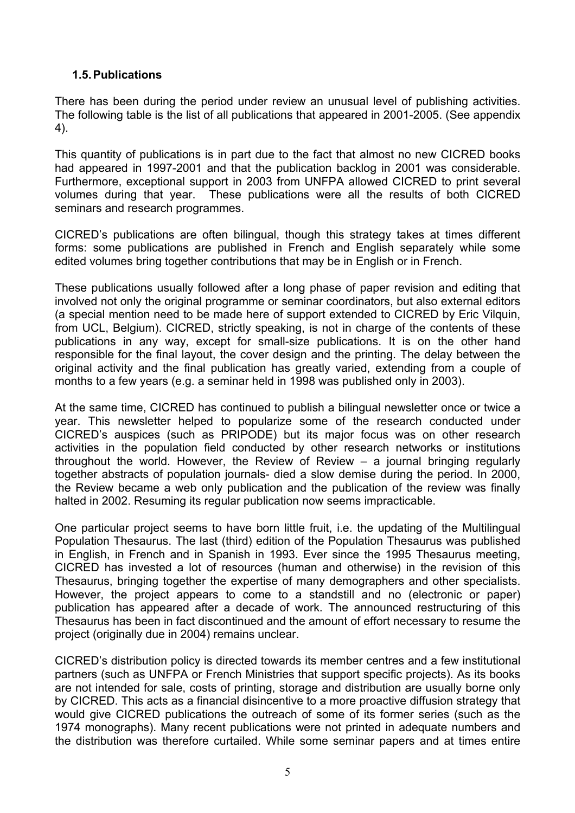#### **1.5. Publications**

There has been during the period under review an unusual level of publishing activities. The following table is the list of all publications that appeared in 2001-2005. (See appendix 4).

This quantity of publications is in part due to the fact that almost no new CICRED books had appeared in 1997-2001 and that the publication backlog in 2001 was considerable. Furthermore, exceptional support in 2003 from UNFPA allowed CICRED to print several volumes during that year. These publications were all the results of both CICRED seminars and research programmes.

CICRED's publications are often bilingual, though this strategy takes at times different forms: some publications are published in French and English separately while some edited volumes bring together contributions that may be in English or in French.

These publications usually followed after a long phase of paper revision and editing that involved not only the original programme or seminar coordinators, but also external editors (a special mention need to be made here of support extended to CICRED by Eric Vilquin, from UCL, Belgium). CICRED, strictly speaking, is not in charge of the contents of these publications in any way, except for small-size publications. It is on the other hand responsible for the final layout, the cover design and the printing. The delay between the original activity and the final publication has greatly varied, extending from a couple of months to a few years (e.g. a seminar held in 1998 was published only in 2003).

At the same time, CICRED has continued to publish a bilingual newsletter once or twice a year. This newsletter helped to popularize some of the research conducted under CICRED's auspices (such as PRIPODE) but its major focus was on other research activities in the population field conducted by other research networks or institutions throughout the world. However, the Review of Review – a journal bringing regularly together abstracts of population journals- died a slow demise during the period. In 2000, the Review became a web only publication and the publication of the review was finally halted in 2002. Resuming its regular publication now seems impracticable.

One particular project seems to have born little fruit, i.e. the updating of the Multilingual Population Thesaurus. The last (third) edition of the Population Thesaurus was published in English, in French and in Spanish in 1993. Ever since the 1995 Thesaurus meeting, CICRED has invested a lot of resources (human and otherwise) in the revision of this Thesaurus, bringing together the expertise of many demographers and other specialists. However, the project appears to come to a standstill and no (electronic or paper) publication has appeared after a decade of work. The announced restructuring of this Thesaurus has been in fact discontinued and the amount of effort necessary to resume the project (originally due in 2004) remains unclear.

CICRED's distribution policy is directed towards its member centres and a few institutional partners (such as UNFPA or French Ministries that support specific projects). As its books are not intended for sale, costs of printing, storage and distribution are usually borne only by CICRED. This acts as a financial disincentive to a more proactive diffusion strategy that would give CICRED publications the outreach of some of its former series (such as the 1974 monographs). Many recent publications were not printed in adequate numbers and the distribution was therefore curtailed. While some seminar papers and at times entire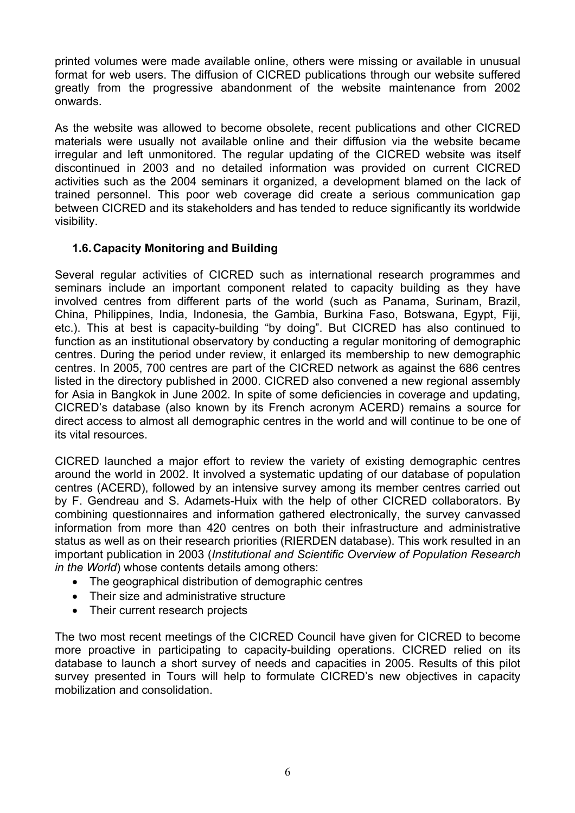printed volumes were made available online, others were missing or available in unusual format for web users. The diffusion of CICRED publications through our website suffered greatly from the progressive abandonment of the website maintenance from 2002 onwards.

As the website was allowed to become obsolete, recent publications and other CICRED materials were usually not available online and their diffusion via the website became irregular and left unmonitored. The regular updating of the CICRED website was itself discontinued in 2003 and no detailed information was provided on current CICRED activities such as the 2004 seminars it organized, a development blamed on the lack of trained personnel. This poor web coverage did create a serious communication gap between CICRED and its stakeholders and has tended to reduce significantly its worldwide visibility.

#### **1.6. Capacity Monitoring and Building**

Several regular activities of CICRED such as international research programmes and seminars include an important component related to capacity building as they have involved centres from different parts of the world (such as Panama, Surinam, Brazil, China, Philippines, India, Indonesia, the Gambia, Burkina Faso, Botswana, Egypt, Fiji, etc.). This at best is capacity-building "by doing". But CICRED has also continued to function as an institutional observatory by conducting a regular monitoring of demographic centres. During the period under review, it enlarged its membership to new demographic centres. In 2005, 700 centres are part of the CICRED network as against the 686 centres listed in the directory published in 2000. CICRED also convened a new regional assembly for Asia in Bangkok in June 2002. In spite of some deficiencies in coverage and updating, CICRED's database (also known by its French acronym ACERD) remains a source for direct access to almost all demographic centres in the world and will continue to be one of its vital resources.

CICRED launched a major effort to review the variety of existing demographic centres around the world in 2002. It involved a systematic updating of our database of population centres (ACERD), followed by an intensive survey among its member centres carried out by F. Gendreau and S. Adamets-Huix with the help of other CICRED collaborators. By combining questionnaires and information gathered electronically, the survey canvassed information from more than 420 centres on both their infrastructure and administrative status as well as on their research priorities (RIERDEN database). This work resulted in an important publication in 2003 (*Institutional and Scientific Overview of Population Research in the World*) whose contents details among others:

- The geographical distribution of demographic centres
- Their size and administrative structure
- Their current research projects

The two most recent meetings of the CICRED Council have given for CICRED to become more proactive in participating to capacity-building operations. CICRED relied on its database to launch a short survey of needs and capacities in 2005. Results of this pilot survey presented in Tours will help to formulate CICRED's new objectives in capacity mobilization and consolidation.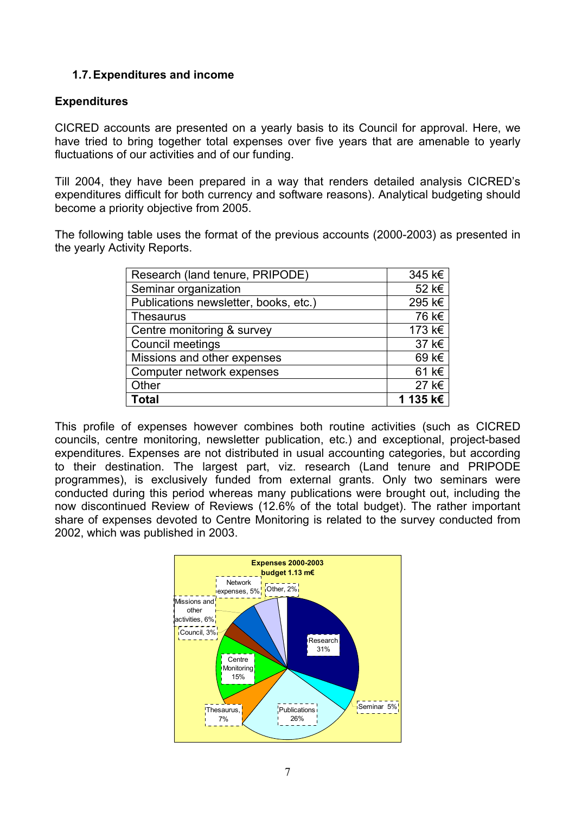#### **1.7. Expenditures and income**

#### **Expenditures**

CICRED accounts are presented on a yearly basis to its Council for approval. Here, we have tried to bring together total expenses over five years that are amenable to yearly fluctuations of our activities and of our funding.

Till 2004, they have been prepared in a way that renders detailed analysis CICRED's expenditures difficult for both currency and software reasons). Analytical budgeting should become a priority objective from 2005.

The following table uses the format of the previous accounts (2000-2003) as presented in the yearly Activity Reports.

| Research (land tenure, PRIPODE)       | 345 k€   |
|---------------------------------------|----------|
| Seminar organization                  | 52 k€    |
| Publications newsletter, books, etc.) | 295 k€   |
| <b>Thesaurus</b>                      | 76 k€    |
| Centre monitoring & survey            | 173 k€   |
| <b>Council meetings</b>               | 37 k€    |
| Missions and other expenses           | 69 k€    |
| Computer network expenses             | 61 k€    |
| Other                                 | 27 k€    |
| <b>Total</b>                          | 1 135 k€ |

This profile of expenses however combines both routine activities (such as CICRED councils, centre monitoring, newsletter publication, etc.) and exceptional, project-based expenditures. Expenses are not distributed in usual accounting categories, but according to their destination. The largest part, viz. research (Land tenure and PRIPODE programmes), is exclusively funded from external grants. Only two seminars were conducted during this period whereas many publications were brought out, including the now discontinued Review of Reviews (12.6% of the total budget). The rather important share of expenses devoted to Centre Monitoring is related to the survey conducted from 2002, which was published in 2003.

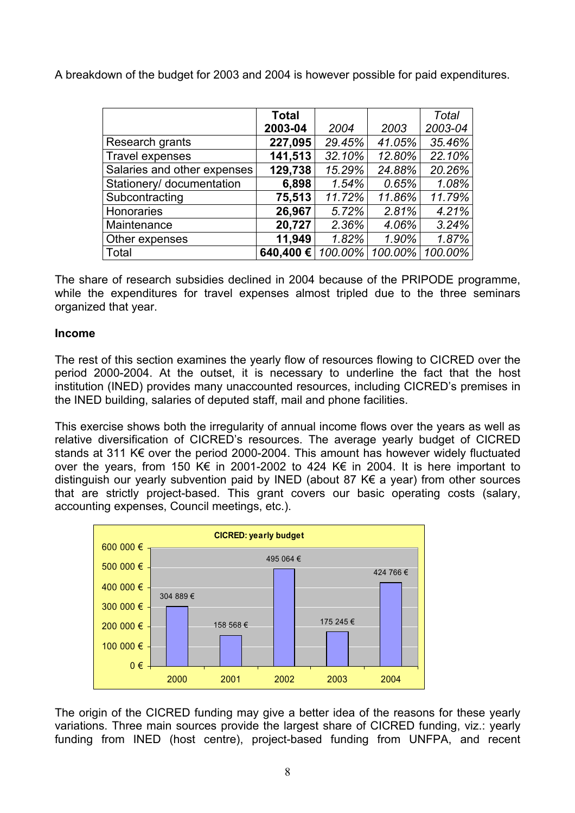A breakdown of the budget for 2003 and 2004 is however possible for paid expenditures.

|                             | <b>Total</b> |         |         | Total   |
|-----------------------------|--------------|---------|---------|---------|
|                             | 2003-04      | 2004    | 2003    | 2003-04 |
| Research grants             | 227,095      | 29.45%  | 41.05%  | 35.46%  |
| <b>Travel expenses</b>      | 141,513      | 32.10%  | 12.80%  | 22.10%  |
| Salaries and other expenses | 129,738      | 15.29%  | 24.88%  | 20.26%  |
| Stationery/ documentation   | 6,898        | 1.54%   | 0.65%   | 1.08%   |
| Subcontracting              | 75,513       | 11.72%  | 11.86%  | 11.79%  |
| Honoraries                  | 26,967       | 5.72%   | 2.81%   | 4.21%   |
| Maintenance                 | 20,727       | 2.36%   | 4.06%   | 3.24%   |
| Other expenses              | 11,949       | 1.82%   | 1.90%   | 1.87%   |
| Total                       | 640,400€     | 100.00% | 100.00% | 100.00% |

The share of research subsidies declined in 2004 because of the PRIPODE programme, while the expenditures for travel expenses almost tripled due to the three seminars organized that year.

#### **Income**

The rest of this section examines the yearly flow of resources flowing to CICRED over the period 2000-2004. At the outset, it is necessary to underline the fact that the host institution (INED) provides many unaccounted resources, including CICRED's premises in the INED building, salaries of deputed staff, mail and phone facilities.

This exercise shows both the irregularity of annual income flows over the years as well as relative diversification of CICRED's resources. The average yearly budget of CICRED stands at 311 K€ over the period 2000-2004. This amount has however widely fluctuated over the years, from 150 K€ in 2001-2002 to 424 K€ in 2004. It is here important to distinguish our yearly subvention paid by INED (about 87 K€ a year) from other sources that are strictly project-based. This grant covers our basic operating costs (salary, accounting expenses, Council meetings, etc.).



The origin of the CICRED funding may give a better idea of the reasons for these yearly variations. Three main sources provide the largest share of CICRED funding, viz.: yearly funding from INED (host centre), project-based funding from UNFPA, and recent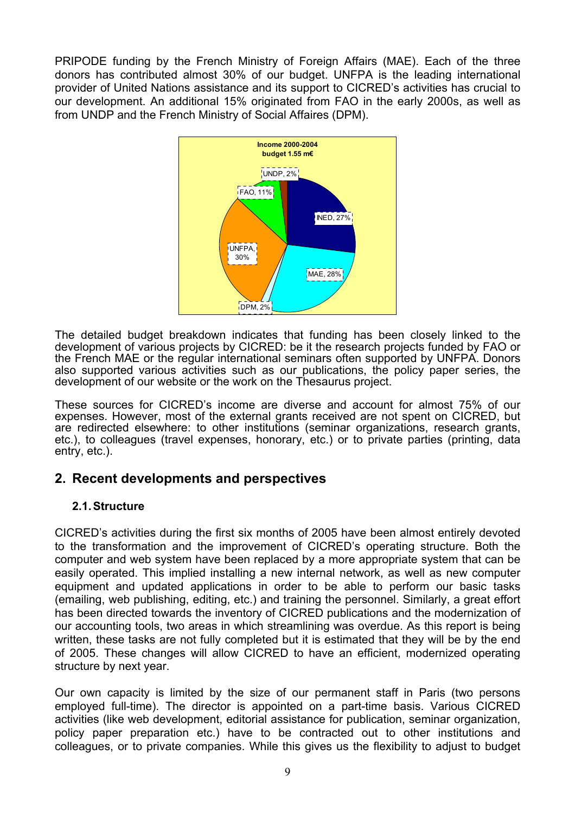PRIPODE funding by the French Ministry of Foreign Affairs (MAE). Each of the three donors has contributed almost 30% of our budget. UNFPA is the leading international provider of United Nations assistance and its support to CICRED's activities has crucial to our development. An additional 15% originated from FAO in the early 2000s, as well as from UNDP and the French Ministry of Social Affaires (DPM).



The detailed budget breakdown indicates that funding has been closely linked to the development of various projects by CICRED: be it the research projects funded by FAO or the French MAE or the regular international seminars often supported by UNFPA. Donors also supported various activities such as our publications, the policy paper series, the development of our website or the work on the Thesaurus project.

These sources for CICRED's income are diverse and account for almost 75% of our expenses. However, most of the external grants received are not spent on CICRED, but are redirected elsewhere: to other institutions (seminar organizations, research grants, etc.), to colleagues (travel expenses, honorary, etc.) or to private parties (printing, data entry, etc.).

## **2. Recent developments and perspectives**

#### **2.1. Structure**

CICRED's activities during the first six months of 2005 have been almost entirely devoted to the transformation and the improvement of CICRED's operating structure. Both the computer and web system have been replaced by a more appropriate system that can be easily operated. This implied installing a new internal network, as well as new computer equipment and updated applications in order to be able to perform our basic tasks (emailing, web publishing, editing, etc.) and training the personnel. Similarly, a great effort has been directed towards the inventory of CICRED publications and the modernization of our accounting tools, two areas in which streamlining was overdue. As this report is being written, these tasks are not fully completed but it is estimated that they will be by the end of 2005. These changes will allow CICRED to have an efficient, modernized operating structure by next year.

Our own capacity is limited by the size of our permanent staff in Paris (two persons employed full-time). The director is appointed on a part-time basis. Various CICRED activities (like web development, editorial assistance for publication, seminar organization, policy paper preparation etc.) have to be contracted out to other institutions and colleagues, or to private companies. While this gives us the flexibility to adjust to budget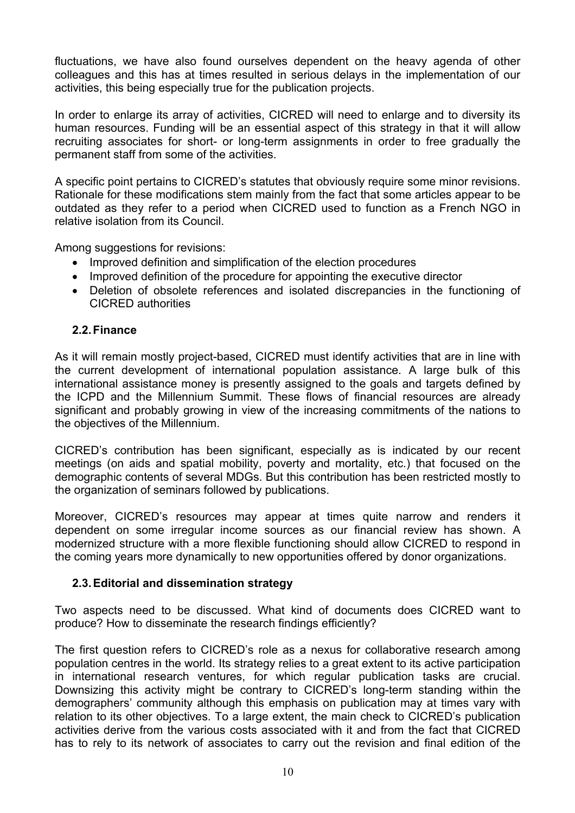fluctuations, we have also found ourselves dependent on the heavy agenda of other colleagues and this has at times resulted in serious delays in the implementation of our activities, this being especially true for the publication projects.

In order to enlarge its array of activities, CICRED will need to enlarge and to diversity its human resources. Funding will be an essential aspect of this strategy in that it will allow recruiting associates for short- or long-term assignments in order to free gradually the permanent staff from some of the activities.

A specific point pertains to CICRED's statutes that obviously require some minor revisions. Rationale for these modifications stem mainly from the fact that some articles appear to be outdated as they refer to a period when CICRED used to function as a French NGO in relative isolation from its Council.

Among suggestions for revisions:

- Improved definition and simplification of the election procedures
- Improved definition of the procedure for appointing the executive director
- Deletion of obsolete references and isolated discrepancies in the functioning of CICRED authorities

#### **2.2. Finance**

As it will remain mostly project-based, CICRED must identify activities that are in line with the current development of international population assistance. A large bulk of this international assistance money is presently assigned to the goals and targets defined by the ICPD and the Millennium Summit. These flows of financial resources are already significant and probably growing in view of the increasing commitments of the nations to the objectives of the Millennium.

CICRED's contribution has been significant, especially as is indicated by our recent meetings (on aids and spatial mobility, poverty and mortality, etc.) that focused on the demographic contents of several MDGs. But this contribution has been restricted mostly to the organization of seminars followed by publications.

Moreover, CICRED's resources may appear at times quite narrow and renders it dependent on some irregular income sources as our financial review has shown. A modernized structure with a more flexible functioning should allow CICRED to respond in the coming years more dynamically to new opportunities offered by donor organizations.

#### **2.3. Editorial and dissemination strategy**

Two aspects need to be discussed. What kind of documents does CICRED want to produce? How to disseminate the research findings efficiently?

The first question refers to CICRED's role as a nexus for collaborative research among population centres in the world. Its strategy relies to a great extent to its active participation in international research ventures, for which regular publication tasks are crucial. Downsizing this activity might be contrary to CICRED's long-term standing within the demographers' community although this emphasis on publication may at times vary with relation to its other objectives. To a large extent, the main check to CICRED's publication activities derive from the various costs associated with it and from the fact that CICRED has to rely to its network of associates to carry out the revision and final edition of the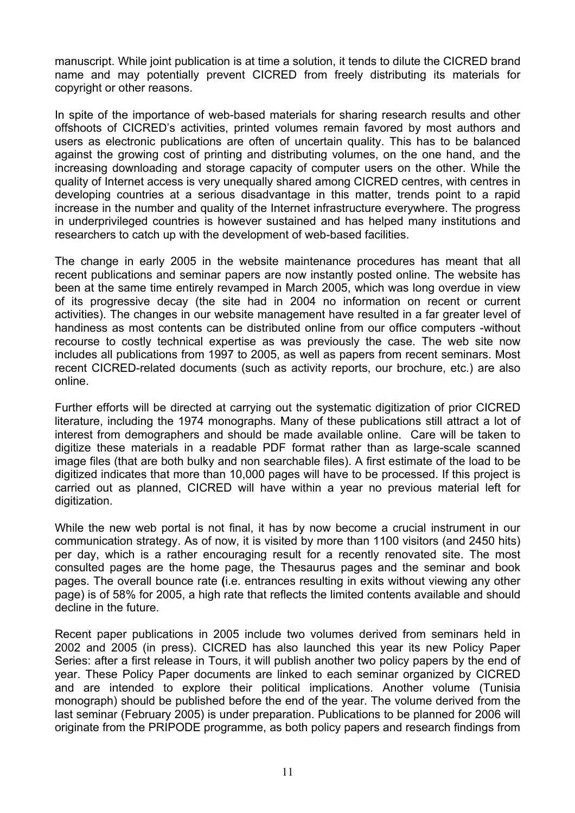manuscript. While joint publication is at time a solution, it tends to dilute the CICRED brand name and may potentially prevent CICRED from freely distributing its materials for copyright or other reasons.

In spite of the importance of web-based materials for sharing research results and other offshoots of CICRED's activities, printed volumes remain favored by most authors and users as electronic publications are often of uncertain quality. This has to be balanced against the growing cost of printing and distributing volumes, on the one hand, and the increasing downloading and storage capacity of computer users on the other. While the quality of Internet access is very unequally shared among CICRED centres, with centres in developing countries at a serious disadvantage in this matter, trends point to a rapid increase in the number and quality of the Internet infrastructure everywhere. The progress in underprivileged countries is however sustained and has helped many institutions and researchers to catch up with the development of web-based facilities.

The change in early 2005 in the website maintenance procedures has meant that all recent publications and seminar papers are now instantly posted online. The website has been at the same time entirely revamped in March 2005, which was long overdue in view of its progressive decay (the site had in 2004 no information on recent or current activities). The changes in our website management have resulted in a far greater level of handiness as most contents can be distributed online from our office computers -without recourse to costly technical expertise as was previously the case. The web site now includes all publications from 1997 to 2005, as well as papers from recent seminars. Most recent CICRED-related documents (such as activity reports, our brochure, etc.) are also online.

Further efforts will be directed at carrying out the systematic digitization of prior CICRED literature, including the 1974 monographs. Many of these publications still attract a lot of interest from demographers and should be made available online. Care will be taken to digitize these materials in a readable PDF format rather than as large-scale scanned image files (that are both bulky and non searchable files). A first estimate of the load to be digitized indicates that more than 10,000 pages will have to be processed. If this project is carried out as planned, CICRED will have within a year no previous material left for digitization.

While the new web portal is not final, it has by now become a crucial instrument in our communication strategy. As of now, it is visited by more than 1100 visitors (and 2450 hits) per day, which is a rather encouraging result for a recently renovated site. The most consulted pages are the home page, the Thesaurus pages and the seminar and book pages. The overall bounce rate **(**i.e. entrances resulting in exits without viewing any other page) is of 58% for 2005, a high rate that reflects the limited contents available and should decline in the future.

Recent paper publications in 2005 include two volumes derived from seminars held in 2002 and 2005 (in press). CICRED has also launched this year its new Policy Paper Series: after a first release in Tours, it will publish another two policy papers by the end of year. These Policy Paper documents are linked to each seminar organized by CICRED and are intended to explore their political implications. Another volume (Tunisia monograph) should be published before the end of the year. The volume derived from the last seminar (February 2005) is under preparation. Publications to be planned for 2006 will originate from the PRIPODE programme, as both policy papers and research findings from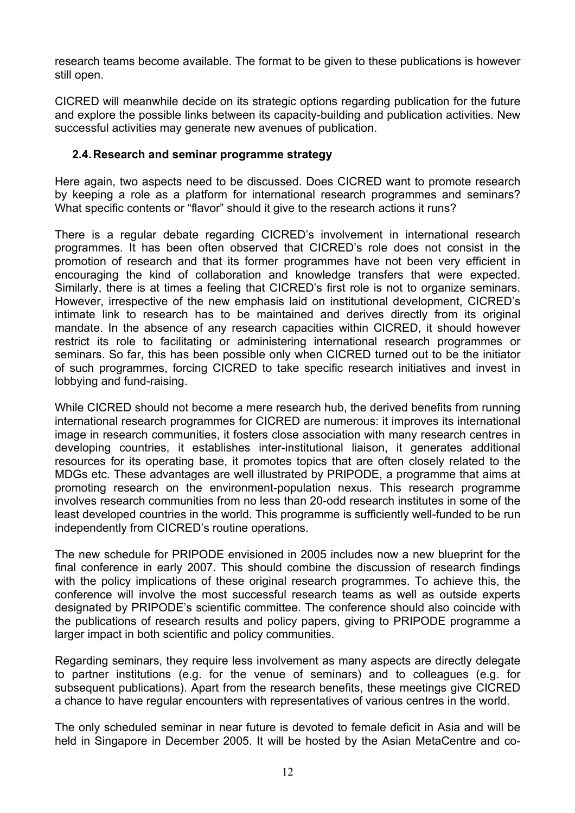research teams become available. The format to be given to these publications is however still open.

CICRED will meanwhile decide on its strategic options regarding publication for the future and explore the possible links between its capacity-building and publication activities. New successful activities may generate new avenues of publication.

#### **2.4. Research and seminar programme strategy**

Here again, two aspects need to be discussed. Does CICRED want to promote research by keeping a role as a platform for international research programmes and seminars? What specific contents or "flavor" should it give to the research actions it runs?

There is a regular debate regarding CICRED's involvement in international research programmes. It has been often observed that CICRED's role does not consist in the promotion of research and that its former programmes have not been very efficient in encouraging the kind of collaboration and knowledge transfers that were expected. Similarly, there is at times a feeling that CICRED's first role is not to organize seminars. However, irrespective of the new emphasis laid on institutional development, CICRED's intimate link to research has to be maintained and derives directly from its original mandate. In the absence of any research capacities within CICRED, it should however restrict its role to facilitating or administering international research programmes or seminars. So far, this has been possible only when CICRED turned out to be the initiator of such programmes, forcing CICRED to take specific research initiatives and invest in lobbying and fund-raising.

While CICRED should not become a mere research hub, the derived benefits from running international research programmes for CICRED are numerous: it improves its international image in research communities, it fosters close association with many research centres in developing countries, it establishes inter-institutional liaison, it generates additional resources for its operating base, it promotes topics that are often closely related to the MDGs etc. These advantages are well illustrated by PRIPODE, a programme that aims at promoting research on the environment-population nexus. This research programme involves research communities from no less than 20-odd research institutes in some of the least developed countries in the world. This programme is sufficiently well-funded to be run independently from CICRED's routine operations.

The new schedule for PRIPODE envisioned in 2005 includes now a new blueprint for the final conference in early 2007. This should combine the discussion of research findings with the policy implications of these original research programmes. To achieve this, the conference will involve the most successful research teams as well as outside experts designated by PRIPODE's scientific committee. The conference should also coincide with the publications of research results and policy papers, giving to PRIPODE programme a larger impact in both scientific and policy communities.

Regarding seminars, they require less involvement as many aspects are directly delegate to partner institutions (e.g. for the venue of seminars) and to colleagues (e.g. for subsequent publications). Apart from the research benefits, these meetings give CICRED a chance to have regular encounters with representatives of various centres in the world.

The only scheduled seminar in near future is devoted to female deficit in Asia and will be held in Singapore in December 2005. It will be hosted by the Asian MetaCentre and co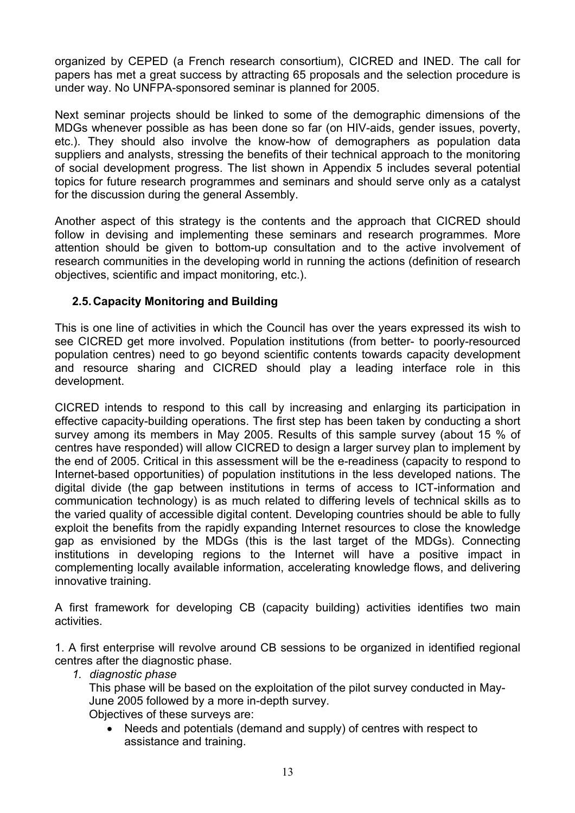organized by CEPED (a French research consortium), CICRED and INED. The call for papers has met a great success by attracting 65 proposals and the selection procedure is under way. No UNFPA-sponsored seminar is planned for 2005.

Next seminar projects should be linked to some of the demographic dimensions of the MDGs whenever possible as has been done so far (on HIV-aids, gender issues, poverty, etc.). They should also involve the know-how of demographers as population data suppliers and analysts, stressing the benefits of their technical approach to the monitoring of social development progress. The list shown in Appendix 5 includes several potential topics for future research programmes and seminars and should serve only as a catalyst for the discussion during the general Assembly.

Another aspect of this strategy is the contents and the approach that CICRED should follow in devising and implementing these seminars and research programmes. More attention should be given to bottom-up consultation and to the active involvement of research communities in the developing world in running the actions (definition of research objectives, scientific and impact monitoring, etc.).

#### **2.5. Capacity Monitoring and Building**

This is one line of activities in which the Council has over the years expressed its wish to see CICRED get more involved. Population institutions (from better- to poorly-resourced population centres) need to go beyond scientific contents towards capacity development and resource sharing and CICRED should play a leading interface role in this development.

CICRED intends to respond to this call by increasing and enlarging its participation in effective capacity-building operations. The first step has been taken by conducting a short survey among its members in May 2005. Results of this sample survey (about 15 % of centres have responded) will allow CICRED to design a larger survey plan to implement by the end of 2005. Critical in this assessment will be the e-readiness (capacity to respond to Internet-based opportunities) of population institutions in the less developed nations. The digital divide (the gap between institutions in terms of access to ICT-information and communication technology) is as much related to differing levels of technical skills as to the varied quality of accessible digital content. Developing countries should be able to fully exploit the benefits from the rapidly expanding Internet resources to close the knowledge gap as envisioned by the MDGs (this is the last target of the MDGs). Connecting institutions in developing regions to the Internet will have a positive impact in complementing locally available information, accelerating knowledge flows, and delivering innovative training.

A first framework for developing CB (capacity building) activities identifies two main activities.

1. A first enterprise will revolve around CB sessions to be organized in identified regional centres after the diagnostic phase.

*1. diagnostic phase* 

This phase will be based on the exploitation of the pilot survey conducted in May-June 2005 followed by a more in-depth survey. Objectives of these surveys are:

• Needs and potentials (demand and supply) of centres with respect to assistance and training.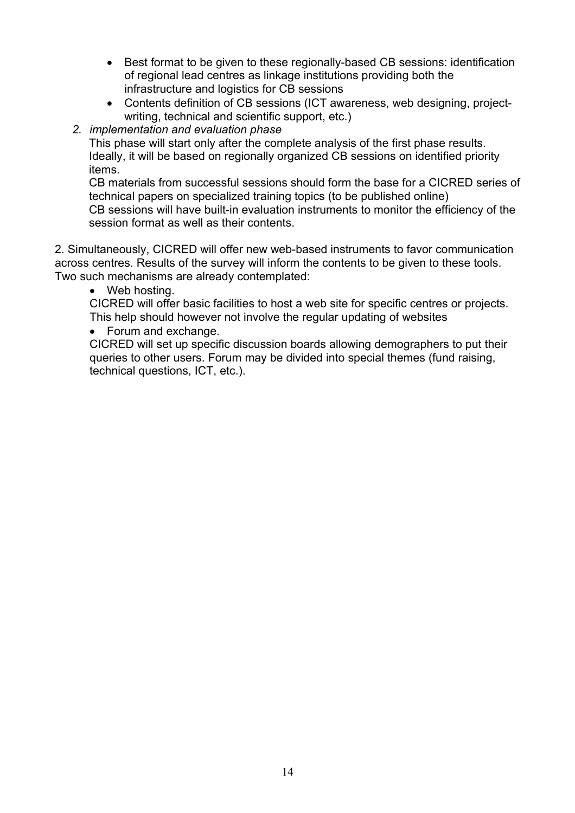- Best format to be given to these regionally-based CB sessions: identification of regional lead centres as linkage institutions providing both the infrastructure and logistics for CB sessions
- Contents definition of CB sessions (ICT awareness, web designing, projectwriting, technical and scientific support, etc.)
- *2. implementation and evaluation phase*

This phase will start only after the complete analysis of the first phase results. Ideally, it will be based on regionally organized CB sessions on identified priority items.

CB materials from successful sessions should form the base for a CICRED series of technical papers on specialized training topics (to be published online) CB sessions will have built-in evaluation instruments to monitor the efficiency of the session format as well as their contents.

2. Simultaneously, CICRED will offer new web-based instruments to favor communication across centres. Results of the survey will inform the contents to be given to these tools. Two such mechanisms are already contemplated:

Web hosting.

CICRED will offer basic facilities to host a web site for specific centres or projects. This help should however not involve the regular updating of websites

• Forum and exchange.

CICRED will set up specific discussion boards allowing demographers to put their queries to other users. Forum may be divided into special themes (fund raising, technical questions, ICT, etc.).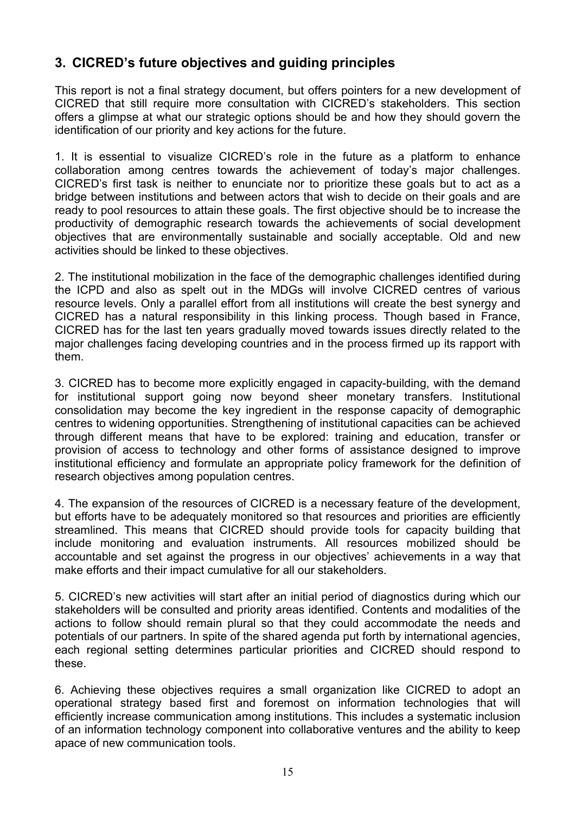## **3. CICRED's future objectives and guiding principles**

This report is not a final strategy document, but offers pointers for a new development of CICRED that still require more consultation with CICRED's stakeholders. This section offers a glimpse at what our strategic options should be and how they should govern the identification of our priority and key actions for the future.

1. It is essential to visualize CICRED's role in the future as a platform to enhance collaboration among centres towards the achievement of today's major challenges. CICRED's first task is neither to enunciate nor to prioritize these goals but to act as a bridge between institutions and between actors that wish to decide on their goals and are ready to pool resources to attain these goals. The first objective should be to increase the productivity of demographic research towards the achievements of social development objectives that are environmentally sustainable and socially acceptable. Old and new activities should be linked to these objectives.

2. The institutional mobilization in the face of the demographic challenges identified during the ICPD and also as spelt out in the MDGs will involve CICRED centres of various resource levels. Only a parallel effort from all institutions will create the best synergy and CICRED has a natural responsibility in this linking process. Though based in France, CICRED has for the last ten years gradually moved towards issues directly related to the major challenges facing developing countries and in the process firmed up its rapport with them.

3. CICRED has to become more explicitly engaged in capacity-building, with the demand for institutional support going now beyond sheer monetary transfers. Institutional consolidation may become the key ingredient in the response capacity of demographic centres to widening opportunities. Strengthening of institutional capacities can be achieved through different means that have to be explored: training and education, transfer or provision of access to technology and other forms of assistance designed to improve institutional efficiency and formulate an appropriate policy framework for the definition of research objectives among population centres.

4. The expansion of the resources of CICRED is a necessary feature of the development, but efforts have to be adequately monitored so that resources and priorities are efficiently streamlined. This means that CICRED should provide tools for capacity building that include monitoring and evaluation instruments. All resources mobilized should be accountable and set against the progress in our objectives' achievements in a way that make efforts and their impact cumulative for all our stakeholders.

5. CICRED's new activities will start after an initial period of diagnostics during which our stakeholders will be consulted and priority areas identified. Contents and modalities of the actions to follow should remain plural so that they could accommodate the needs and potentials of our partners. In spite of the shared agenda put forth by international agencies, each regional setting determines particular priorities and CICRED should respond to these.

6. Achieving these objectives requires a small organization like CICRED to adopt an operational strategy based first and foremost on information technologies that will efficiently increase communication among institutions. This includes a systematic inclusion of an information technology component into collaborative ventures and the ability to keep apace of new communication tools.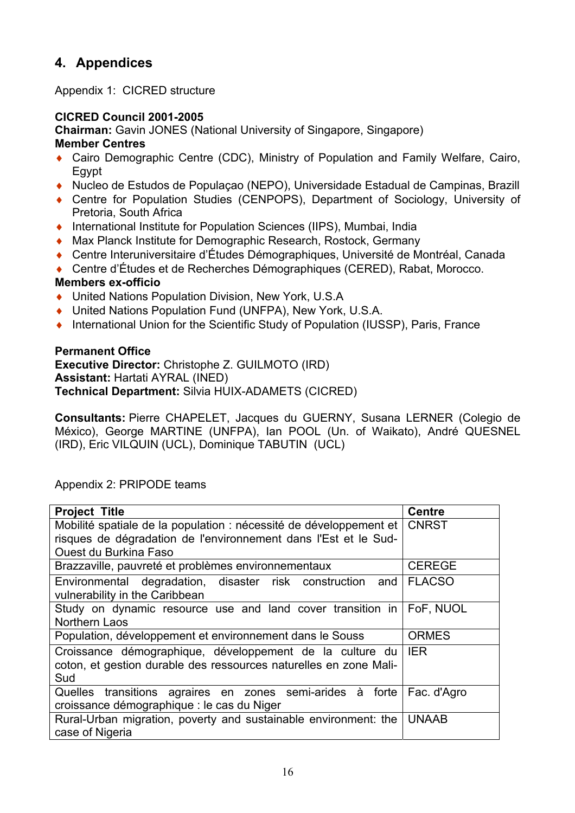## **4. Appendices**

Appendix 1: CICRED structure

### **CICRED Council 2001-2005**

**Chairman:** Gavin JONES (National University of Singapore, Singapore)

### **Member Centres**

- ♦ Cairo Demographic Centre (CDC), Ministry of Population and Family Welfare, Cairo, Egypt
- ♦ Nucleo de Estudos de Populaçao (NEPO), Universidade Estadual de Campinas, Brazill
- ♦ Centre for Population Studies (CENPOPS), Department of Sociology, University of Pretoria, South Africa
- ♦ International Institute for Population Sciences (IIPS), Mumbai, India
- ♦ Max Planck Institute for Demographic Research, Rostock, Germany
- ♦ Centre Interuniversitaire d'Études Démographiques, Université de Montréal, Canada
- ◆ Centre d'Études et de Recherches Démographiques (CERED), Rabat, Morocco.

## **Members ex-officio**

- ♦ United Nations Population Division, New York, U.S.A
- ♦ United Nations Population Fund (UNFPA), New York, U.S.A.
- ♦ International Union for the Scientific Study of Population (IUSSP), Paris, France

#### **Permanent Office**

**Executive Director:** Christophe Z. GUILMOTO (IRD) **Assistant:** Hartati AYRAL (INED) **Technical Department:** Silvia HUIX-ADAMETS (CICRED)

**Consultants:** Pierre CHAPELET, Jacques du GUERNY, Susana LERNER (Colegio de México), George MARTINE (UNFPA), Ian POOL (Un. of Waikato), André QUESNEL (IRD), Eric VILQUIN (UCL), Dominique TABUTIN (UCL)

| <b>Project Title</b>                                               | <b>Centre</b> |
|--------------------------------------------------------------------|---------------|
| Mobilité spatiale de la population : nécessité de développement et | <b>CNRST</b>  |
| risques de dégradation de l'environnement dans l'Est et le Sud-    |               |
| <b>Ouest du Burkina Faso</b>                                       |               |
| Brazzaville, pauvreté et problèmes environnementaux                | <b>CEREGE</b> |
| Environmental degradation, disaster risk construction and          | <b>FLACSO</b> |
| vulnerability in the Caribbean                                     |               |
| Study on dynamic resource use and land cover transition in $\vert$ | FoF, NUOL     |
| <b>Northern Laos</b>                                               |               |
| Population, développement et environnement dans le Souss           | <b>ORMES</b>  |
| Croissance démographique, développement de la culture du lER       |               |
| coton, et gestion durable des ressources naturelles en zone Mali-  |               |
| Sud                                                                |               |
| Quelles transitions agraires en zones semi-arides à forte          | Fac. d'Agro   |
| croissance démographique : le cas du Niger                         |               |
| Rural-Urban migration, poverty and sustainable environment: the    | <b>UNAAB</b>  |
| case of Nigeria                                                    |               |

Appendix 2: PRIPODE teams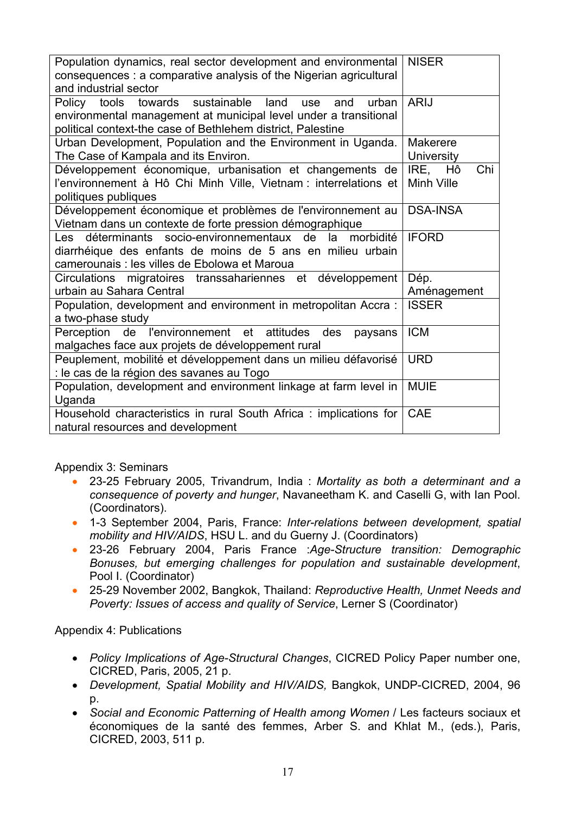| Population dynamics, real sector development and environmental<br>consequences : a comparative analysis of the Nigerian agricultural | <b>NISER</b>      |  |
|--------------------------------------------------------------------------------------------------------------------------------------|-------------------|--|
| and industrial sector                                                                                                                |                   |  |
| towards sustainable<br>land<br>urban<br>Policy<br>tools<br>use<br>and                                                                | <b>ARIJ</b>       |  |
| environmental management at municipal level under a transitional<br>political context-the case of Bethlehem district, Palestine      |                   |  |
| Urban Development, Population and the Environment in Uganda.                                                                         | Makerere          |  |
| The Case of Kampala and its Environ.                                                                                                 | <b>University</b> |  |
| Développement économique, urbanisation et changements de                                                                             | Chi<br>Hô<br>IRE. |  |
| l'environnement à Hô Chi Minh Ville, Vietnam : interrelations et                                                                     | <b>Minh Ville</b> |  |
| politiques publiques                                                                                                                 |                   |  |
| Développement économique et problèmes de l'environnement au                                                                          | <b>DSA-INSA</b>   |  |
| Vietnam dans un contexte de forte pression démographique                                                                             |                   |  |
| déterminants<br>socio-environnementaux<br>de<br>morbidité<br>la<br>l es l                                                            | <b>IFORD</b>      |  |
| diarrhéique des enfants de moins de 5 ans en milieu urbain                                                                           |                   |  |
| camerounais : les villes de Ebolowa et Maroua                                                                                        |                   |  |
| Circulations<br>migratoires transsahariennes et<br>développement                                                                     | Dép.              |  |
| urbain au Sahara Central                                                                                                             | Aménagement       |  |
| Population, development and environment in metropolitan Accra:                                                                       | <b>ISSER</b>      |  |
| a two-phase study                                                                                                                    |                   |  |
| Perception de l'environnement et<br>attitudes<br>des<br>paysans                                                                      | <b>ICM</b>        |  |
| malgaches face aux projets de développement rural                                                                                    |                   |  |
| Peuplement, mobilité et développement dans un milieu défavorisé                                                                      | <b>URD</b>        |  |
| : le cas de la région des savanes au Togo                                                                                            |                   |  |
| Population, development and environment linkage at farm level in                                                                     | <b>MUIE</b>       |  |
| Uganda                                                                                                                               |                   |  |
| Household characteristics in rural South Africa: implications for                                                                    | <b>CAE</b>        |  |
| natural resources and development                                                                                                    |                   |  |

Appendix 3: Seminars

- 23-25 February 2005, Trivandrum, India : *Mortality as both a determinant and a consequence of poverty and hunger*, Navaneetham K. and Caselli G, with Ian Pool. (Coordinators).
- 1-3 September 2004, Paris, France: *Inter-relations between development, spatial mobility and HIV/AIDS*, HSU L. and du Guerny J. (Coordinators)
- 23-26 February 2004, Paris France :*Age-Structure transition: Demographic Bonuses, but emerging challenges for population and sustainable development*, Pool I. (Coordinator)
- 25-29 November 2002, Bangkok, Thailand: *Reproductive Health, Unmet Needs and Poverty: Issues of access and quality of Service*, Lerner S (Coordinator)

Appendix 4: Publications

- *Policy Implications of Age-Structural Changes*, CICRED Policy Paper number one, CICRED, Paris, 2005, 21 p.
- *Development, Spatial Mobility and HIV/AIDS,* Bangkok, UNDP-CICRED, 2004, 96 p.
- *Social and Economic Patterning of Health among Women* / Les facteurs sociaux et économiques de la santé des femmes, Arber S. and Khlat M., (eds.), Paris, CICRED, 2003, 511 p.